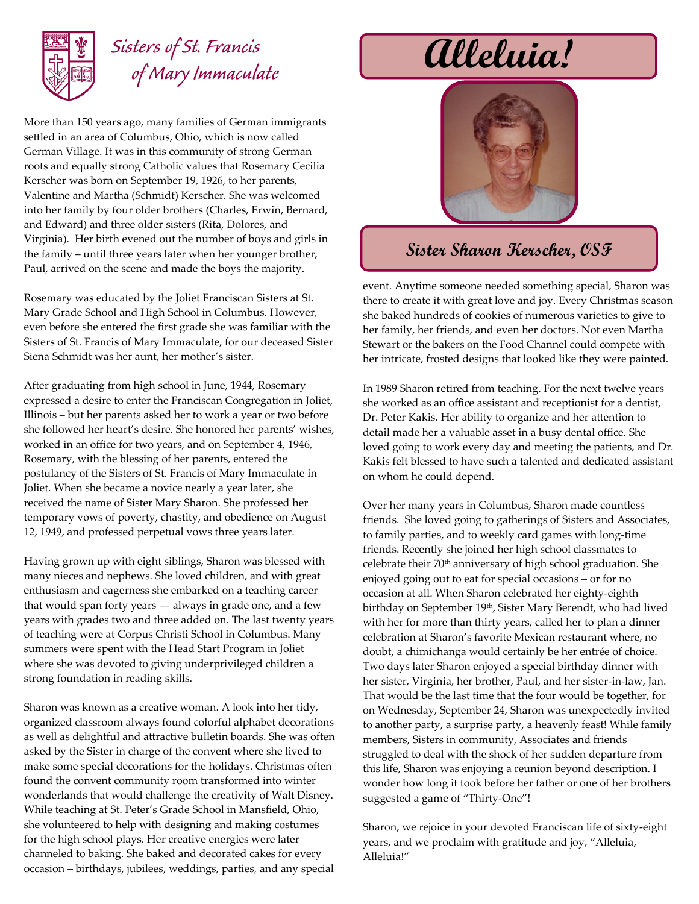

## *Sisters of St. Francis of Mary Immaculate*

More than 150 years ago, many families of German immigrants settled in an area of Columbus, Ohio, which is now called German Village. It was in this community of strong German roots and equally strong Catholic values that Rosemary Cecilia Kerscher was born on September 19, 1926, to her parents, Valentine and Martha (Schmidt) Kerscher. She was welcomed into her family by four older brothers (Charles, Erwin, Bernard, and Edward) and three older sisters (Rita, Dolores, and Virginia). Her birth evened out the number of boys and girls in the family – until three years later when her younger brother, Paul, arrived on the scene and made the boys the majority.

Rosemary was educated by the Joliet Franciscan Sisters at St. Mary Grade School and High School in Columbus. However, even before she entered the first grade she was familiar with the Sisters of St. Francis of Mary Immaculate, for our deceased Sister Siena Schmidt was her aunt, her mother's sister.

After graduating from high school in June, 1944, Rosemary expressed a desire to enter the Franciscan Congregation in Joliet, Illinois – but her parents asked her to work a year or two before she followed her heart's desire. She honored her parents' wishes, worked in an office for two years, and on September 4, 1946, Rosemary, with the blessing of her parents, entered the postulancy of the Sisters of St. Francis of Mary Immaculate in Joliet. When she became a novice nearly a year later, she received the name of Sister Mary Sharon. She professed her temporary vows of poverty, chastity, and obedience on August 12, 1949, and professed perpetual vows three years later.

Having grown up with eight siblings, Sharon was blessed with many nieces and nephews. She loved children, and with great enthusiasm and eagerness she embarked on a teaching career that would span forty years — always in grade one, and a few years with grades two and three added on. The last twenty years of teaching were at Corpus Christi School in Columbus. Many summers were spent with the Head Start Program in Joliet where she was devoted to giving underprivileged children a strong foundation in reading skills.

Sharon was known as a creative woman. A look into her tidy, organized classroom always found colorful alphabet decorations as well as delightful and attractive bulletin boards. She was often asked by the Sister in charge of the convent where she lived to make some special decorations for the holidays. Christmas often found the convent community room transformed into winter wonderlands that would challenge the creativity of Walt Disney. While teaching at St. Peter's Grade School in Mansfield, Ohio, she volunteered to help with designing and making costumes for the high school plays. Her creative energies were later channeled to baking. She baked and decorated cakes for every occasion – birthdays, jubilees, weddings, parties, and any special

## **Alleluia!**



## **Sister Sharon Kerscher, OSF**

event. Anytime someone needed something special, Sharon was there to create it with great love and joy. Every Christmas season she baked hundreds of cookies of numerous varieties to give to her family, her friends, and even her doctors. Not even Martha Stewart or the bakers on the Food Channel could compete with her intricate, frosted designs that looked like they were painted.

In 1989 Sharon retired from teaching. For the next twelve years she worked as an office assistant and receptionist for a dentist, Dr. Peter Kakis. Her ability to organize and her attention to detail made her a valuable asset in a busy dental office. She loved going to work every day and meeting the patients, and Dr. Kakis felt blessed to have such a talented and dedicated assistant on whom he could depend.

Over her many years in Columbus, Sharon made countless friends. She loved going to gatherings of Sisters and Associates, to family parties, and to weekly card games with long-time friends. Recently she joined her high school classmates to celebrate their 70th anniversary of high school graduation. She enjoyed going out to eat for special occasions – or for no occasion at all. When Sharon celebrated her eighty-eighth birthday on September 19th, Sister Mary Berendt, who had lived with her for more than thirty years, called her to plan a dinner celebration at Sharon's favorite Mexican restaurant where, no doubt, a chimichanga would certainly be her entrée of choice. Two days later Sharon enjoyed a special birthday dinner with her sister, Virginia, her brother, Paul, and her sister-in-law, Jan. That would be the last time that the four would be together, for on Wednesday, September 24, Sharon was unexpectedly invited to another party, a surprise party, a heavenly feast! While family members, Sisters in community, Associates and friends struggled to deal with the shock of her sudden departure from this life, Sharon was enjoying a reunion beyond description. I wonder how long it took before her father or one of her brothers suggested a game of "Thirty-One"!

Sharon, we rejoice in your devoted Franciscan life of sixty-eight years, and we proclaim with gratitude and joy, "Alleluia, Alleluia!"